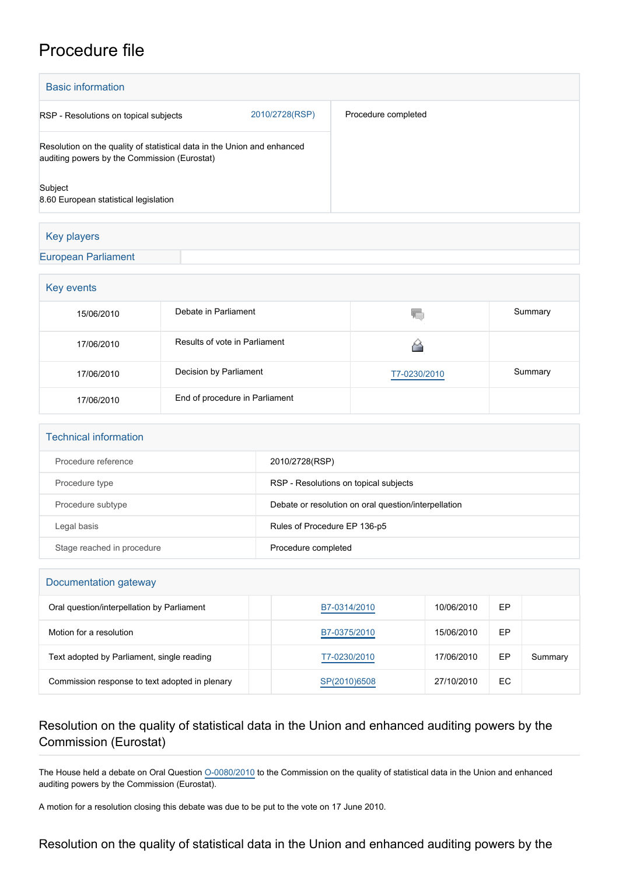## Procedure file

| <b>Basic information</b>                                                                                                |                                |                     |         |  |  |  |
|-------------------------------------------------------------------------------------------------------------------------|--------------------------------|---------------------|---------|--|--|--|
| 2010/2728(RSP)<br>RSP - Resolutions on topical subjects                                                                 |                                | Procedure completed |         |  |  |  |
| Resolution on the quality of statistical data in the Union and enhanced<br>auditing powers by the Commission (Eurostat) |                                |                     |         |  |  |  |
| Subject<br>8.60 European statistical legislation                                                                        |                                |                     |         |  |  |  |
| Key players                                                                                                             |                                |                     |         |  |  |  |
| <b>European Parliament</b>                                                                                              |                                |                     |         |  |  |  |
| Key events                                                                                                              |                                |                     |         |  |  |  |
| 15/06/2010                                                                                                              | Debate in Parliament           | 疝                   | Summary |  |  |  |
| 17/06/2010                                                                                                              | Results of vote in Parliament  | 6                   |         |  |  |  |
| 17/06/2010                                                                                                              | Decision by Parliament         | T7-0230/2010        | Summary |  |  |  |
| 17/06/2010                                                                                                              | End of procedure in Parliament |                     |         |  |  |  |
|                                                                                                                         |                                |                     |         |  |  |  |

| <b>Technical information</b> |                                                      |  |  |  |
|------------------------------|------------------------------------------------------|--|--|--|
| Procedure reference          | 2010/2728(RSP)                                       |  |  |  |
| Procedure type               | RSP - Resolutions on topical subjects                |  |  |  |
| Procedure subtype            | Debate or resolution on oral question/interpellation |  |  |  |
| Legal basis                  | Rules of Procedure EP 136-p5                         |  |  |  |
| Stage reached in procedure   | Procedure completed                                  |  |  |  |

## Documentation gateway

| Oral question/interpellation by Parliament     | B7-0314/2010 | 10/06/2010 | EP |         |
|------------------------------------------------|--------------|------------|----|---------|
| Motion for a resolution                        | B7-0375/2010 | 15/06/2010 | ЕP |         |
| Text adopted by Parliament, single reading     | T7-0230/2010 | 17/06/2010 | EP | Summary |
| Commission response to text adopted in plenary | SP(2010)6508 | 27/10/2010 | EC |         |

## Resolution on the quality of statistical data in the Union and enhanced auditing powers by the Commission (Eurostat)

The House held a debate on Oral Question [O-0080/2010](http://www.europarl.europa.eu/sides/getDoc.do?pubRef=-//EP//TEXT+OQ+O-2010-0080+0+DOC+XML+V0//EN&language=EN) to the Commission on the quality of statistical data in the Union and enhanced auditing powers by the Commission (Eurostat).

A motion for a resolution closing this debate was due to be put to the vote on 17 June 2010.